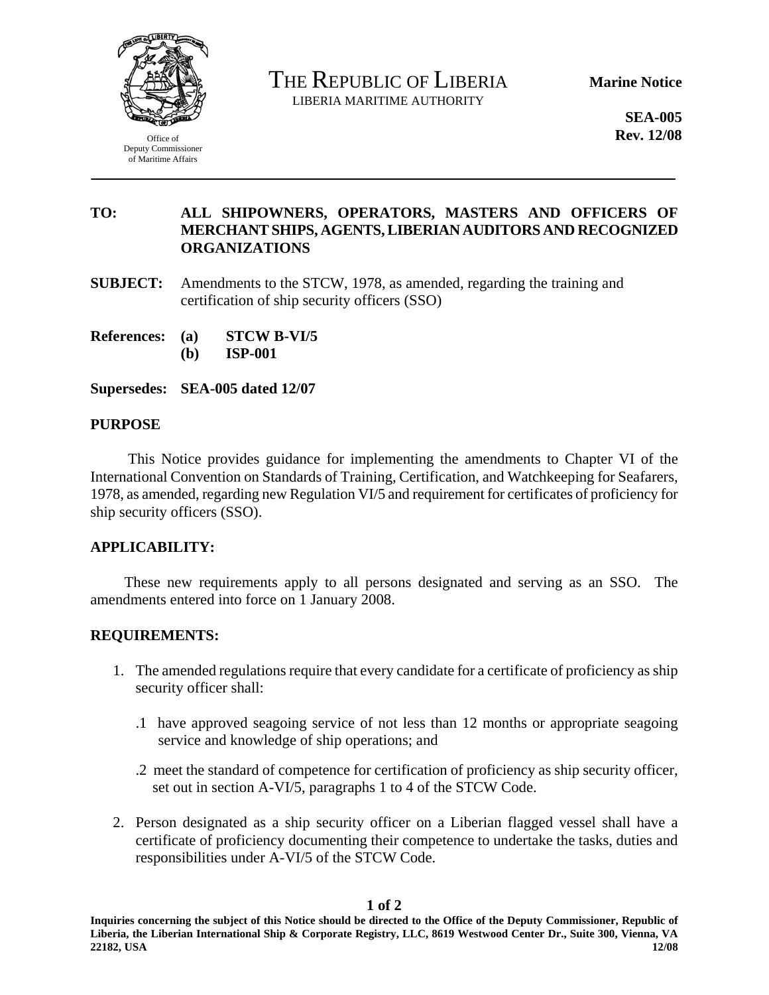

Office of Deputy Commissioner of Maritime Affairs

THE REPUBLIC OF LIBERIA LIBERIA MARITIME AUTHORITY

**Marine Notice** 

**SEA-005 Rev. 12/08** 

# **TO: ALL SHIPOWNERS, OPERATORS, MASTERS AND OFFICERS OF MERCHANT SHIPS, AGENTS, LIBERIAN AUDITORS AND RECOGNIZED ORGANIZATIONS**

- **SUBJECT:** Amendments to the STCW, 1978, as amended, regarding the training and certification of ship security officers (SSO)
- **References: (a) STCW B-VI/5** 
	- **(b) ISP-001**

**Supersedes: SEA-005 dated 12/07** 

#### **PURPOSE**

 This Notice provides guidance for implementing the amendments to Chapter VI of the International Convention on Standards of Training, Certification, and Watchkeeping for Seafarers, 1978, as amended, regarding new Regulation VI/5 and requirement for certificates of proficiency for ship security officers (SSO).

### **APPLICABILITY:**

These new requirements apply to all persons designated and serving as an SSO. The amendments entered into force on 1 January 2008.

### **REQUIREMENTS:**

- 1. The amended regulations require that every candidate for a certificate of proficiency as ship security officer shall:
	- .1 have approved seagoing service of not less than 12 months or appropriate seagoing service and knowledge of ship operations; and
	- .2 meet the standard of competence for certification of proficiency as ship security officer, set out in section A-VI/5, paragraphs 1 to 4 of the STCW Code.
- 2. Person designated as a ship security officer on a Liberian flagged vessel shall have a certificate of proficiency documenting their competence to undertake the tasks, duties and responsibilities under A-VI/5 of the STCW Code.